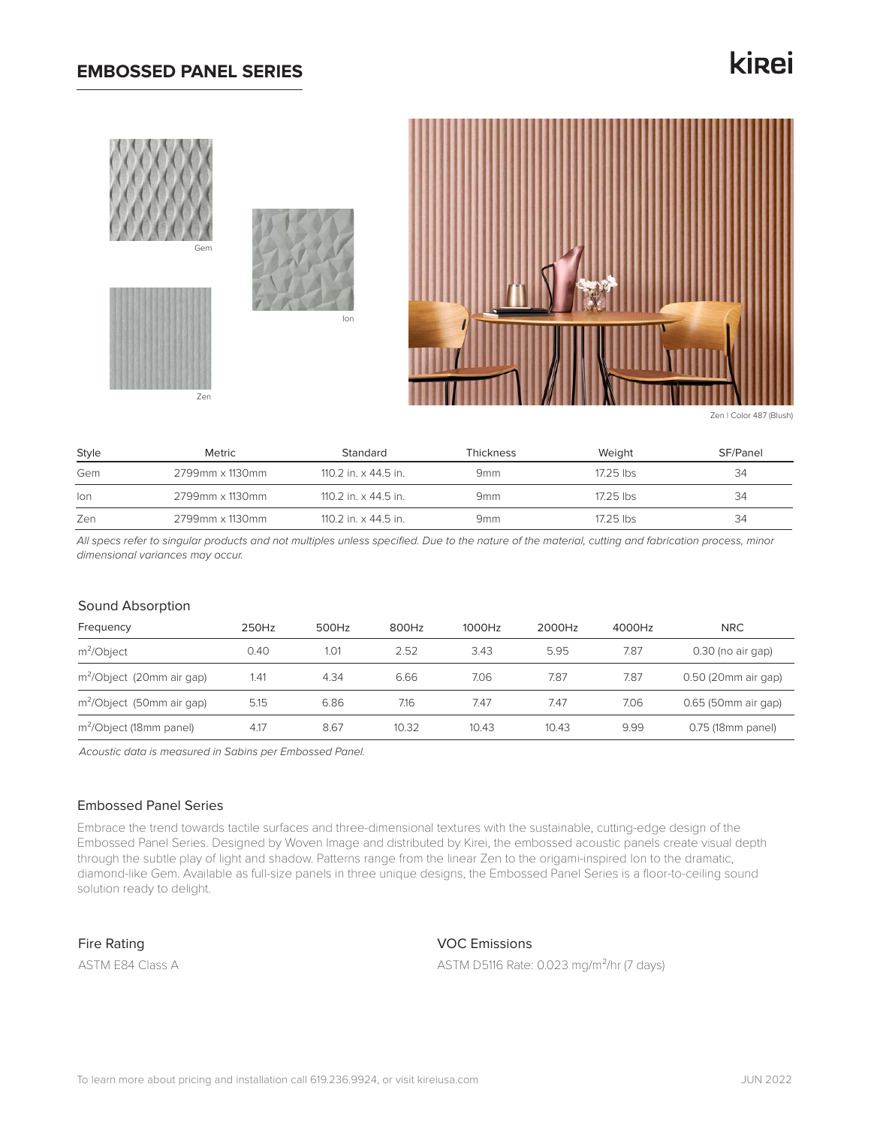## **EMBOSSED PANEL SERIES**

# kirei







Zen | Color 487 (Blush)

| Style | Metric          | Standard                    | Thickness       | Weight    | SF/Panel |
|-------|-----------------|-----------------------------|-----------------|-----------|----------|
| Gem   | 2799mm x 1130mm | 110.2 in. x 44.5 in.        | 9 <sub>mm</sub> | 17.25 lbs | 34       |
| lon   | 2799mm x 1130mm | 110.2 in. $\times$ 44.5 in. | 9 <sub>mm</sub> | 17.25 lbs | 34       |
| Zen   | 2799mm x 1130mm | 110.2 in. $\times$ 44.5 in. | 9 <sub>mm</sub> | 17.25 lbs | 34       |

*All specs refer to singular products and not multiples unless specified. Due to the nature of the material, cutting and fabrication process, minor dimensional variances may occur.*

#### Sound Absorption

| Frequency                             | 250Hz | 500Hz | 800Hz | 1000Hz | 2000Hz | 4000Hz | <b>NRC</b>          |
|---------------------------------------|-------|-------|-------|--------|--------|--------|---------------------|
| $m^2$ Object                          | 0.40  | 1.01  | 2.52  | 3.43   | 5.95   | 7.87   | $0.30$ (no air gap) |
| m <sup>2</sup> /Object (20mm air gap) | 1.41  | 4.34  | 6.66  | 7.06   | 7.87   | 7.87   | 0.50 (20mm air gap) |
| m <sup>2</sup> /Object (50mm air gap) | 5.15  | 6.86  | 7.16  | 7.47   | 7.47   | 7.06   | 0.65 (50mm air gap) |
| m <sup>2</sup> /Object (18mm panel)   | 4.17  | 8.67  | 10.32 | 10.43  | 10.43  | 9.99   | 0.75 (18mm panel)   |

*Acoustic data is measured in Sabins per Embossed Panel.*

### Embossed Panel Series

Embrace the trend towards tactile surfaces and three-dimensional textures with the sustainable, cutting-edge design of the Embossed Panel Series. Designed by Woven Image and distributed by Kirei, the embossed acoustic panels create visual depth through the subtle play of light and shadow. Patterns range from the linear Zen to the origami-inspired Ion to the dramatic, diamond-like Gem. Available as full-size panels in three unique designs, the Embossed Panel Series is a floor-to-ceiling sound solution ready to delight.

Fire Rating

ASTM E84 Class A

## VOC Emissions

ASTM D5116 Rate: 0.023 mg/m²/hr (7 days)